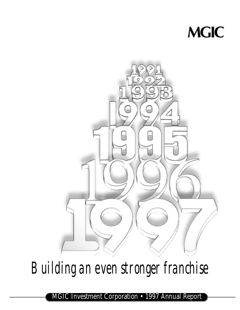



*Building an even stronger franchise*

MGIC Investment Corporation • 1997 Annual Report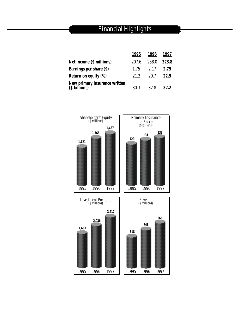# Financial Highlights

|                                                | 1995  | 1996  | 1997  |
|------------------------------------------------|-------|-------|-------|
| Net income (\$ millions)                       | 207.6 | 258.0 | 323.8 |
| Earnings per share (\$)                        | 1.75  | 2.17  | 2.75  |
| Return on equity (%)                           | 21.2  | 20.7  | 22.5  |
| New primary insurance written<br>(\$ billions) | 30.3  | 32.8  | 32.2  |

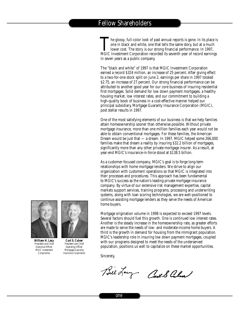The glossy, full-color look of past annual reports is gone. In its place is<br>one in black and white, one that tells the same story, but at a much<br>lower cost. The story is our strong financial performance. In 1997,<br>MGIC Inve he glossy, full-color look of past annual reports is gone. In its place is one in black and white, one that tells the same story, but at a much lower cost. The story is our strong financial performance. In 1997, in seven years as a public company.

The "black and white" of 1997 is that MGIC Investment Corporation earned a record \$324 million, an increase of 25 percent. After giving effect to a two-for-one stock split on June 2, earnings per share in 1997 totaled \$2.75, an increase of 27 percent. Our strong financial performance can be attributed to another good year for our core business of insuring residential first mortgages. Solid demand for low down payment mortgages, a healthy housing market, low interest rates, and our commitment to building a high-quality book of business in a cost-effective manner helped our principal subsidiary, Mortgage Guaranty Insurance Corporation (MGIC), post stellar results in 1997.

One of the most satisfying elements of our business is that we help families attain homeownership sooner than otherwise possible. Without private mortgage insurance, more than one million families each year would not be able to obtain conventional mortgages. For these families, the American Dream would be just that — a dream. In 1997, MGIC helped some 266,000 families make that dream a reality by insuring \$32.2 billion of mortgages, significantly more than any other private mortgage insurer. As a result, at year-end MGIC's insurance-in-force stood at \$138.5 billion.

As a customer-focused company, MGIC's goal is to forge long-term relationships with home mortgage lenders. We strive to align our organization with customers' operations so that MGIC is integrated into their processes and procedures. This approach has been fundamental to MGIC's success as the nation's leading private mortgage insurance company. By virtue of our extensive risk management expertise, capital markets support services, training programs, processing and underwriting systems, along with loan scoring technologies, we are well-positioned to continue assisting mortgage lenders as they serve the needs of American home buyers.

Mortgage origination volume in 1998 is expected to exceed 1997 levels. Several factors should fuel this growth. One is continued low interest rates. Another is the steady increase in the homeownership rate, as greater efforts are made to serve the needs of low- and moderate-income home buyers. A third is the growth in demand for housing from the immigrant population. MGIC's leadership role in insuring low down payment mortgages, coupled with our programs designed to meet the needs of the underserved population, positions us well to capitalize on these market opportunities.

Sincerely,

Bilday Cent & alma



**William H. Lacy** *President and Chief Executive Officer MGIC Investment Corporation*

**Curt S. Culver President and Chief Operating Officer** *M o rtgage Guaranty Insurance Corporation*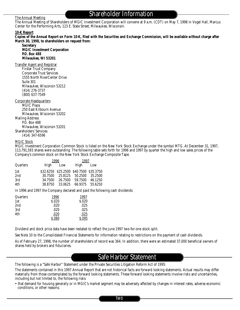#### The Annual Meeting

## Shareholder Information

The Annual Meeting of Shareholders of MGIC Investment Corporation will convene at 9 a.m. (CDT) on May 7, 1998 in Vogel Hall, Marcus Center for the Performing Arts, 123 E. State Street, Milwaukee, Wisconsin.

#### **10-K Report**

**Copies of the Annual Report on Form 10-K, filed with the Securities and Exchange Commission, will be available without charge after March 30, 1998, to shareholders on request from:**

**Secretary MGIC Investment Corporation P.O. Box 488 Milwaukee, WI 53201**

Transfer Agent and Registrar

Firstar Trust Company Corporate Trust Services 1555 North RiverCenter Drive Suite 301 Milwaukee, Wisconsin 53212 (414) 276-3737 (800) 637-7549

Corporate Headquarters

MGIC Plaza 250 East Kilbourn Avenue Milwaukee, Wisconsin 53202 Mailing Address

P.O. Box 488 Milwaukee, Wisconsin 53201 Shareholders' Services (414) 347-6596

### MGIC Stock

MGIC Investment Corporation Common Stock is listed on the New York Stock Exchange under the symbol MTG. At December 31, 1997, 113,791,593 shares were outstanding. The following table sets forth for 1996 and 1997 by quarter the high and low sales prices of the Company's common stock on the New York Stock Exchange Composite Tape.

|          |         | 1996                                    | 1997    |         |
|----------|---------|-----------------------------------------|---------|---------|
| Quarters | High    | Low                                     | High    | Low     |
| 1st      |         | \$32.6250 \$25.2500 \$40.7500 \$35.3750 |         |         |
| 2nd      | 30.7500 | 25.8125                                 | 50.2500 | 35.2500 |
| 3rd      | 34.7500 | 26.7500                                 | 59.7500 | 46.1250 |
| 4th      | 38.8750 | 33.0625                                 | 66.9375 | 55.6250 |
|          |         |                                         |         |         |

In 1996 and 1997 the Company declared and paid the following cash dividends:

| Quarters        | 1996  | 1997   |
|-----------------|-------|--------|
| 1st             | S.020 | \$.020 |
| 2 <sub>nd</sub> | .020  | .025   |
| 3rd             | .020  | .025   |
| 4th             | .020  | .025   |
|                 | S.080 | S.095  |

Dividend and stock price data have been restated to reflect the June 1997 two-for-one stock split.

See Note 10 to the Consolidated Financial Statements for information relating to restrictions on the payment of cash dividends.

As of February 27, 1998, the number of shareholders of record was 364. In addition, there were an estimated 37,000 beneficial owners of shares held by brokers and fiduciaries.

## Safe Harbor Statement

The following is a "Safe Harbor" Statement under the Private Securities Litigation Reform Act of 1995:

The statements contained in this 1997 Annual Report that are not historical facts are forward looking statements. Actual results may differ materially from those contemplated by the forward looking statements. These forward looking statements involve risks and uncertainties, including but not limited to, the following risks:

• that demand for housing generally or in MGIC's market segment may be adversely affected by changes in interest rates, adverse economic conditions, or other reasons;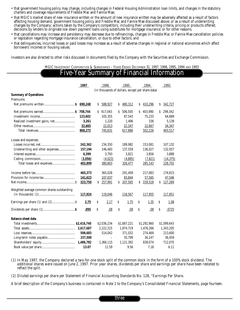- that government housing policy may change, including changes in Federal Housing Administration loan limits, and changes in the statutory charters and coverage requirements of Freddie Mac and Fannie Mae;
- that MGIC's market share of new insurance written or the amount of new insurance written may be adversely affected as a result of factors affecting housing demand, government housing policy and Freddie Mac and Fannie Mae discussed above; or as a result of underwriting changes by the Company; actions taken by the Company's competitors, including their underwriting criteria, pricing or products offered; decisions by lenders to originate low down payment loans using substitutes for mortgage insurance; or for other reasons;
- that cancellations may increase and persistency may decrease due to refinancings, changes in Freddie Mac or Fannie Mae cancellation policies or legislation regarding mortgage insurance cancellation, or due to other factors; and
- that delinquencies, incurred losses or paid losses may increase as a result of adverse changes in regional or national economies which affect borrowers' incomes or housing values.

Investors are also directed to other risks discussed in documents filed by the Company with the Securities and Exchange Commission.

MGIC INVESTMENT CORPORATION & SUBSIDIARIES – YEARS ENDED DECEMBER 31, 1997, 1996, 1995, 1994 AND 1993

### Five-Year Summary of Financial Information

|                                            | 1997      |    | 1996                     |    | 1995                                             |    | 1994        |    | 1993        |
|--------------------------------------------|-----------|----|--------------------------|----|--------------------------------------------------|----|-------------|----|-------------|
|                                            |           |    |                          |    | (In thousands of dollars, except per share data) |    |             |    |             |
| <b>Summary of Operations</b><br>Premiums:  |           |    |                          |    |                                                  |    |             |    |             |
|                                            |           |    |                          |    |                                                  |    |             |    |             |
|                                            |           | S  | 588,927                  | S. | 480,312                                          | S  | 410,296     | S  | 342,727     |
|                                            | 708,744   |    | \$617,043                | Ŝ. | 506,500                                          | S  | 403,990     | Ŝ  | 299,342     |
|                                            | 123,602   |    | 105,355                  |    | 87,543                                           |    | 75,233      |    | 64,689      |
| Realized investment gains, net             | 3,261     |    | 1,220                    |    | 1,496                                            |    | 336         |    | 5,139       |
|                                            | 32,665    |    | 22,013                   |    | 22,347                                           |    | 22,667      |    | 34,347      |
|                                            | 868,272   |    | 745,631                  |    | 617,886                                          |    | 502,226     |    | 403,517     |
|                                            |           |    |                          |    |                                                  |    |             |    |             |
| Losses and expenses:                       |           |    |                          |    |                                                  |    |             |    |             |
|                                            | 242,362   |    | 234,350                  |    | 189,982                                          |    | 153,081     |    | 107,132     |
| Underwriting and other expenses            | 157,194   |    | 146,483                  |    | 137,559                                          |    | 136,027     |    | 132,057     |
|                                            | 6,399     |    | 3,793                    |    | 3,821                                            |    | 3,856       |    | 3,888       |
|                                            | (3,056)   |    | (4,023)                  |    | (4,885)                                          |    | (7,821)     |    | (14, 375)   |
|                                            | 402,899   |    | 380,603                  |    | 326,477                                          |    | 285,143     |    | 228,702     |
|                                            |           |    |                          |    |                                                  |    |             |    |             |
|                                            | 465,373   |    | 365,028                  |    | 291,409                                          |    | 217,083     |    | 174,815     |
|                                            | 141,623   |    | 107,037                  |    | 83,844                                           |    | 57,565      |    | 47,546      |
|                                            | 323,750   | Ŝ. | 257,991                  | S. | 207,565                                          | \$ | 159,518     | S  | 127,269     |
|                                            |           |    |                          |    |                                                  |    |             |    |             |
| Weighted average common shares outstanding |           |    |                          |    |                                                  |    |             |    |             |
|                                            | 117,924   |    | 119,046                  |    | 118,567                                          |    | 117,955     |    | 117,851     |
|                                            | 2.75      | S  | 2.17                     | \$ | 1.75                                             | \$ | 1.35        | \$ | 1.08        |
|                                            |           |    |                          |    |                                                  |    |             |    |             |
|                                            | .095      | \$ | .08                      | \$ | .08                                              | \$ | .08         | \$ | .0725       |
| <b>Balance sheet data</b>                  |           |    |                          |    |                                                  |    |             |    |             |
|                                            |           |    | \$2,036,234              |    | \$1,687,221                                      |    | \$1,292,960 |    | \$1,099,643 |
|                                            | 2,617,687 |    | 2,222,315                |    | 1,874,719                                        |    | 1,476,266   |    | 1,343,205   |
|                                            | 598,683   |    | 514,042                  |    | 371,032                                          |    | 274,469     |    | 213,600     |
|                                            | 237,500   |    | $\overline{\phantom{m}}$ |    | 35,799                                           |    | 36,147      |    | 36,459      |
|                                            | 1,486,782 |    | 1,366,115                |    | 1,121,392                                        |    | 838,074     |    | 712,070     |
|                                            | 13.07     |    | 11.59                    |    | 9.56                                             |    | 7.18        |    | 6.11        |

*(1) In May 1997, the Company declared a two-for-one stock split of the common stock in the form of a 100% stock dividend. The additional shares were issued on June 2, 1997. Prior year shares, dividends per share and earnings per share have been restated to reflect the split.*

*(2) Diluted earnings per share per Statement of Financial Accounting Standards No. 128, "Earnings Per Share.*

*A brief description of the Company's business is contained in Note 1 to the Company's Consolidated Financial Statements, page fourteen.*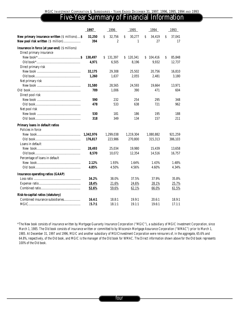# Five-Year Summary of Financial Information

|                                                | 1997      | 1996           | 1995          | 1994                   | 1993                                |
|------------------------------------------------|-----------|----------------|---------------|------------------------|-------------------------------------|
| New primary insurance written (\$ millions)\$  | 32,250    | Ŝ.<br>32,756   | \$<br>30,277  | $\mathsf{S}$<br>34,419 | $\boldsymbol{\mathsf{S}}$<br>37,041 |
| New pool risk written (\$ million)             | 394       | $\overline{c}$ | 1             | 27                     | 17                                  |
| Insurance in force (at year-end) (\$ millions) |           |                |               |                        |                                     |
| Direct primary insurance                       |           |                |               |                        |                                     |
|                                                | 138,497   | 131,397<br>S.  | S.<br>120,341 | 104,416<br>S.          | 85.848<br>S                         |
|                                                | 4.971     | 6,505          | 8.196         | 9,932                  | 12,737                              |
| Direct primary risk                            |           |                |               |                        |                                     |
|                                                | 32,175    | 29,308         | 25,502        | 20,756                 | 16,810                              |
|                                                | 1,260     | 1,637          | 2,055         | 2,481                  | 3,180                               |
| Net primary risk                               |           |                |               |                        |                                     |
|                                                | 31,580    | 28,565         | 24,593        | 19,664                 | 13,971                              |
|                                                | 789       | 1,006          | 390           | 471                    | 604                                 |
| Direct pool risk                               |           |                |               |                        |                                     |
|                                                | 590       | 232            | 254           | 295                    | 348                                 |
|                                                | 478       | 533            | 638           | 721                    | 962                                 |
| Net pool risk                                  |           |                |               |                        |                                     |
|                                                | 530       | 181            | 186           | 195                    | 188                                 |
|                                                | 318       | 349            | 134           | 157                    | 211                                 |
| Primary loans in default ratios                |           |                |               |                        |                                     |
| Policies in force                              |           |                |               |                        |                                     |
|                                                | 1,342,976 | 1,299,038      | 1,219,304     | 1,080,882              | 921,259                             |
|                                                | 176,817   | 223,986        | 270,800       | 315,313                | 386,103                             |
| Loans in default                               |           |                |               |                        |                                     |
|                                                | 28,493    | 25,034         | 19,980        | 15,439                 | 13.658                              |
|                                                | 8,570     | 10,072         | 12,354        | 14,516                 | 16,757                              |
| Percentage of loans in default                 |           |                |               |                        |                                     |
|                                                | 2.12%     | 1.93%          | 1.64%         | 1.43%                  | 1.48%                               |
|                                                | 4.85%     | 4.50%          | 4.56%         | 4.60%                  | 4.34%                               |
| <b>Insurance operating ratios (GAAP)</b>       |           |                |               |                        |                                     |
|                                                | 34.2%     | 38.0%          | 37.5%         | 37.9%                  | 35.8%                               |
|                                                | 18.4%     | 21.6%          | 24.6%         | 28.1%                  | 25.7%                               |
|                                                | 52.6%     | 59.6%          | 62.1%         | 66.0%                  | 61.5%                               |
| Risk-to-capital ratios (statutory)             |           |                |               |                        |                                     |
| Combined insurance subsidiaries                | 16.4:1    | 18.8:1         | 19.9:1        | 20.6:1                 | 18.9:1                              |
|                                                | 15.7:1    | 18.1:1         | 19.1:1        | 19.6:1                 | 17.1:1                              |

*\*The New book consists of insurance written by Mortgage Guaranty Insurance Corporation ("MGIC"), a subsidiary of MGIC Investment Corporation, since March 1, 1985. The Old book consists of insurance written or committed to by Wisconsin Mortgage Assurance Corporation ("WMAC") prior to March 1, 1985. At December 31, 1997 and 1996, MGIC and another subsidiary of MGICInvestment Corporation were reinsurers of, in the aggregate, 65.6% and 64.8%, respectively, of the Old book, and MGIC is the manager of the Old book for WMAC. The Direct information shown above for the Old book represents 100% of the Old book.*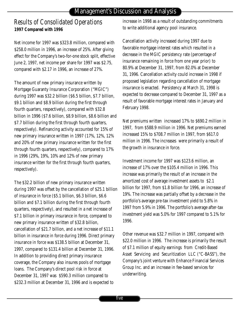# Management's Discussion and Analysis

# *Results of Consolidated Operations* **1997 Compared with 1996**

Net income for 1997 was \$323.8 million, compared with \$258.0 million in 1996, an increase of 25%. After giving effect for the Company's two-for-one stock split, effective June 2, 1997, net income per share for 1997 was \$2.75, compared with \$2.17 in 1996, an increase of 27%.

The amount of new primary insurance written by Mortgage Guaranty Insurance Corporation ("MGIC") during 1997 was \$32.2 billion (\$6.5 billion, \$7.7 billion, \$9.1 billion and \$8.9 billion during the first through fourth quarters, respectively), compared with \$32.8 billion in 1996 (\$7.6 billion, \$8.9 billion, \$8.6 billion and \$7.7 billion during the first through fourth quarters, respectively). Refinancing activity accounted for 15% of new primary insurance written in 1997 (17%, 12%, 12% and 20% of new primary insurance written for the first through fourth quarters, respectively), compared to 17% in 1996 (29%, 19%, 10% and 12% of new primary insurance written for the first through fourth quarters, respectively).

The \$32.2 billion of new primary insurance written during 1997 was offset by the cancellation of \$25.1 billion of insurance in force (\$5.1 billion, \$6.3 billion, \$6.6 billion and \$7.1 billion during the first through fourth quarters, respectively), and resulted in a net increase of \$7.1 billion in primary insurance in force, compared to new primary insurance written of \$32.8 billion, cancellation of \$21.7 billion, and a net increase of \$11.1 billion in insurance in force during 1996. Direct primary insurance in force was \$138.5 billion at December 31, 1997, compared to \$131.4 billion at December 31, 1996. In addition to providing direct primary insurance coverage, the Company also insures pools of mortgage loans. The Company's direct pool risk in force at December 31, 1997 was \$590.3 million compared to \$232.3 million at December 31, 1996 and is expected to

increase in 1998 as a result of outstanding commitments to write additional agency pool insurance.

Cancellation activity increased during 1997 due to favorable mortgage interest rates which resulted in a decrease in the MGIC persistency rate (percentage of insurance remaining in force from one year prior) to 80.9% at December 31, 1997, from 82.0% at December 31, 1996. Cancellation activity could increase in 1998 if proposed legislation regarding cancellation of mortgage insurance is enacted. Persistency at March 31, 1998 is expected to decrease compared to December 31, 1997 as a result of favorable mortgage interest rates in January and February 1998.

Net premiums written increased 17% to \$690.2 million in 1997, from \$588.9 million in 1996. Net premiums earned increased 15% to \$708.7 million in 1997, from \$617.0 million in 1996. The increases were primarily a result of the growth in insurance in force.

Investment income for 1997 was \$123.6 million, an increase of 17% over the \$105.4 million in 1996. This increase was primarily the result of an increase in the amortized cost of average investment assets to \$2.1 billion for 1997, from \$1.8 billion for 1996, an increase of 19%. The increase was partially offset by a decrease in the portfolio's average pre-tax investment yield to 5.8% in 1997 from 5.9% in 1996. The portfolio's average after-tax investment yield was 5.0% for 1997 compared to 5.1% for 1996.

Other revenue was \$32.7 million in 1997, compared with \$22.0 million in 1996. The increase is primarily the result of \$7.1 million of equity earnings from Credit-Based Asset Servicing and Securitization LLC ("C-BASS"), the Company's joint venture with Enhance Financial Services Group Inc. and an increase in fee-based services for underwriting.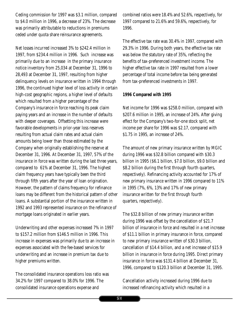Ceding commission for 1997 was \$3.1 million, compared to \$4.0 million in 1996, a decrease of 23%. The decrease was primarily attributable to reductions in premiums ceded under quota share reinsurance agreements.

Net losses incurred increased 3% to \$242.4 million in 1997, from \$234.4 million in 1996. Such increase was primarily due to an increase in the primary insurance notice inventory from 25,034 at December 31, 1996 to 28,493 at December 31, 1997, resulting from higher delinquency levels on insurance written in 1994 through 1996, the continued higher level of loss activity in certain high-cost geographic regions, a higher level of defaults which resulted from a higher percentage of the Company's insurance in force reaching its peak claim paying years and an increase in the number of defaults with deeper coverages. Offsetting this increase were favorable developments in prior-year loss reserves resulting from actual claim rates and actual claim amounts being lower than those estimated by the Company when originally establishing the reserve at December 31, 1996. At December 31, 1997, 57% of the insurance in force was written during the last three years, compared to 61% at December 31, 1996. The highest claim frequency years have typically been the third through fifth years after the year of loan origination. However, the pattern of claims frequency for refinance loans may be different from the historical pattern of other loans. A substantial portion of the insurance written in 1992 and 1993 represented insurance on the refinance of mortgage loans originated in earlier years.

Underwriting and other expenses increased 7% in 1997 to \$157.2 million from \$146.5 million in 1996. This increase in expenses was primarily due to an increase in expenses associated with the fee-based services for underwriting and an increase in premium tax due to higher premiums written.

The consolidated insurance operations loss ratio was 34.2% for 1997 compared to 38.0% for 1996. The consolidated insurance operations expense and

combined ratios were 18.4% and 52.6%, respectively, for 1997 compared to 21.6% and 59.6%, respectively, for 1996.

The effective tax rate was 30.4% in 1997, compared with 29.3% in 1996. During both years, the effective tax rate was below the statutory rate of 35%, reflecting the benefits of tax-preferenced investment income. The higher effective tax rate in 1997 resulted from a lower percentage of total income before tax being generated from tax-preferenced investments in 1997.

### **1996 Compared with 1995**

Net income for 1996 was \$258.0 million, compared with \$207.6 million in 1995, an increase of 24%. After giving effect for the Company's two-for-one stock split, net income per share for 1996 was \$2.17, compared with \$1.75 in 1995, an increase of 24%.

The amount of new primary insurance written by MGIC during 1996 was \$32.8 billion compared with \$30.3 billion in 1995 (\$6.1 billion, \$7.0 billion, \$9.0 billion and \$8.2 billion during the first through fourth quarters, respectively). Refinancing activity accounted for 17% of new primary insurance written in 1996 compared to 11% in 1995 (7%, 6%, 13% and 17% of new primary insurance written for the first through fourth quarters, respectively).

The \$32.8 billion of new primary insurance written during 1996 was offset by the cancellation of \$21.7 billion of insurance in force and resulted in a net increase of \$11.1 billion in primary insurance in force, compared to new primary insurance written of \$30.3 billion, cancellation of \$14.4 billion, and a net increase of \$15.9 billion in insurance in force during 1995. Direct primary insurance in force was \$131.4 billion at December 31, 1996, compared to \$120.3 billion at December 31, 1995.

Cancellation activity increased during 1996 due to increased refinancing activity which resulted in a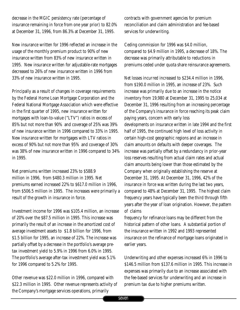decrease in the MGIC persistency rate (percentage of insurance remaining in force from one year prior) to 82.0% at December 31, 1996, from 86.3% at December 31, 1995.

New insurance written for 1996 reflected an increase in the usage of the monthly premium product to 90% of new insurance written from 83% of new insurance written in 1995. New insurance written for adjustable-rate mortgages decreased to 26% of new insurance written in 1996 from 33% of new insurance written in 1995.

Principally as a result of changes in coverage requirements by the Federal Home Loan Mortgage Corporation and the Federal National Mortgage Association which were effective in the first quarter of 1995, new insurance written for mortgages with loan-to-value ("LTV") ratios in excess of 85% but not more than 90% and coverage of 25% was 39% of new insurance written in 1996 compared to 33% in 1995. New insurance written for mortgages with LTV ratios in excess of 90% but not more than 95% and coverage of 30% was 38% of new insurance written in 1996 compared to 34% in 1995.

Net premiums written increased 23% to \$588.9 million in 1996, from \$480.3 million in 1995. Net premiums earned increased 22% to \$617.0 million in 1996, from \$506.5 million in 1995. The increases were primarily a result of the growth in insurance in force.

Investment income for 1996 was \$105.4 million, an increase of 20% over the \$87.5 million in 1995. This increase was primarily the result of an increase in the amortized cost of average investment assets to \$1.8 billion for 1996, from \$1.5 billion for 1995, an increase of 22%. The increase was partially offset by a decrease in the portfolio's average pretax investment yield to 5.9% in 1996 from 6.0% in 1995. The portfolio's average after-tax investment yield was 5.1% for 1996 compared to 5.2% for 1995.

Other revenue was \$22.0 million in 1996, compared with \$22.3 million in 1995. Other revenue represents activity of the Company's mortgage services operations, primarily

contracts with government agencies for premium reconciliation and claim administration and fee-based services for underwriting.

Ceding commission for 1996 was \$4.0 million, compared to \$4.9 million in 1995, a decrease of 18%. The decrease was primarily attributable to reductions in premiums ceded under quota share reinsurance agreements.

Net losses incurred increased to \$234.4 million in 1996, from \$190.0 million in 1995, an increase of 23%. Such increase was primarily due to an increase in the notice inventory from 19,980 at December 31, 1995 to 25,034 at December 31, 1996 resulting from an increasing percentage of the Company's insurance in force reaching its peak claim paying years, concern with early loss developments on insurance written in late 1994 and the first half of 1995, the continued high level of loss activity in certain high-cost geographic regions and an increase in claim amounts on defaults with deeper coverages. The increase was partially offset by a redundancy in prior-year loss reserves resulting from actual claim rates and actual claim amounts being lower than those estimated by the Company when originally establishing the reserve at December 31, 1995. At December 31, 1996, 42% of the insurance in force was written during the last two years, compared to 48% at December 31, 1995. The highest claim frequency years have typically been the third through fifth years after the year of loan origination. However, the pattern of claims

frequency for refinance loans may be different from the historical pattern of other loans. A substantial portion of the insurance written in 1992 and 1993 represented insurance on the refinance of mortgage loans originated in earlier years.

Underwriting and other expenses increased 6% in 1996 to \$146.5 million from \$137.6 million in 1995. This increase in expenses was primarily due to an increase associated with the fee-based services for underwriting and an increase in premium tax due to higher premiums written.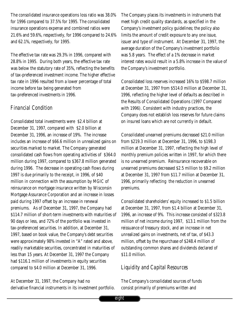The consolidated insurance operations loss ratio was 38.0% for 1996 compared to 37.5% for 1995. The consolidated insurance operations expense and combined ratios were 21.6% and 59.6%, respectively, for 1996 compared to 24.6% and 62.1%, respectively, for 1995.

The effective tax rate was 29.3% in 1996, compared with 28.8% in 1995. During both years, the effective tax rate was below the statutory rate of 35%, reflecting the benefits of tax-preferenced investment income. The higher effective tax rate in 1996 resulted from a lower percentage of total income before tax being generated from tax-preferenced investments in 1996.

## *Financial Condition*

Consolidated total investments were \$2.4 billion at December 31, 1997, compared with \$2.0 billion at December 31, 1996, an increase of 19%. The increase includes an increase of \$66.6 million in unrealized gains on securities marked to market. The Company generated consolidated cash flows from operating activities of \$364.0 million during 1997, compared to \$367.8 million generated during 1996. The decrease in operating cash flows during 1997 is due primarily to the receipt, in 1996, of \$40 million in connection with the assumption by MGIC of reinsurance on mortgage insurance written by Wisconsin Mortgage Assurance Corporation and an increase in losses paid during 1997 offset by an increase in renewal premiums. As of December 31, 1997, the Company had \$114.7 million of short-term investments with maturities of 90 days or less, and 72% of the portfolio was invested in tax-preferenced securities. In addition, at December 31, 1997, based on book value, the Company's debt securities were approximately 98% invested in "A" rated and above, readily marketable securities, concentrated in maturities of less than 15 years. At December 31, 1997 the Company had \$116.1 million of investments in equity securities compared to \$4.0 million at December 31, 1996.

At December 31, 1997, the Company had no derivative financial instruments in its investment portfolio. The Company places its investments in instruments that meet high credit quality standards, as specified in the Company's investment policy guidelines; the policy also limits the amount of credit exposure to any one issue, issuer and type of instrument. At December 31, 1997, the average duration of the Company's investment portfolio was 5.8 years. The effect of a 1% decrease in market interest rates would result in a 5.8% increase in the value of the Company's investment portfolio.

Consolidated loss reserves increased 16% to \$598.7 million at December 31, 1997 from \$514.0 million at December 31, 1996, reflecting the higher level of defaults as described in the Results of Consolidated Operations (1997 Compared with 1996). Consistent with industry practices, the Company does not establish loss reserves for future claims on insured loans which are not currently in default.

Consolidated unearned premiums decreased \$21.0 million from \$219.3 million at December 31, 1996, to \$198.3 million at December 31, 1997, reflecting the high level of monthly premium policies written in 1997, for which there is no unearned premium. Reinsurance recoverable on unearned premiums decreased \$2.5 million to \$9.2 million at December 31, 1997 from \$11.7 million at December 31, 1996, primarily reflecting the reduction in unearned premiums.

Consolidated shareholders' equity increased to \$1.5 billion at December 31, 1997, from \$1.4 billion at December 31, 1996, an increase of 9%. This increase consisted of \$323.8 million of net income during 1997, \$13.1 million from the reissuance of treasury stock, and an increase in net unrealized gains on investments, net of tax, of \$43.3 million, offset by the repurchase of \$248.4 million of outstanding common shares and dividends declared of \$11.0 million.

## *Liquidity and Capital Resources*

The Company's consolidated sources of funds consist primarily of premiums written and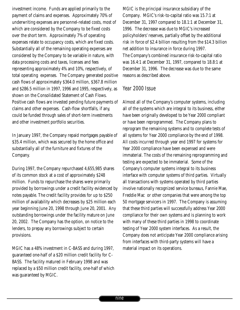investment income. Funds are applied primarily to the payment of claims and expenses. Approximately 70% of underwriting expenses are personnel-related costs, most of which are considered by the Company to be fixed costs over the short term. Approximately 7% of operating expenses relate to occupancy costs, which are fixed costs. Substantially all of the remaining operating expenses are considered by the Company to be variable in nature, with data processing costs and taxes, licenses and fees representing approximately 4% and 10%, respectively, of total operating expenses. The Company generated positive cash flows of approximately \$364.0 million, \$367.8 million and \$286.5 million in 1997, 1996 and 1995, respectively, as shown on the Consolidated Statement of Cash Flows. Positive cash flows are invested pending future payments of claims and other expenses. Cash-flow shortfalls, if any, could be funded through sales of short-term investments and other investment portfolio securities.

In January 1997, the Company repaid mortgages payable of \$35.4 million, which was secured by the home office and substantially all of the furniture and fixtures of the Company.

During 1997, the Company repurchased 4,655,985 shares of its common stock at a cost of approximately \$248 million. Funds to repurchase the shares were primarily provided by borrowings under a credit facility evidenced by notes payable. The credit facility provides for up to \$250 million of availability which decreases by \$25 million each year beginning June 20, 1998 through June 20, 2001. Any outstanding borrowings under the facility mature on June 20, 2002. The Company has the option, on notice to the lenders, to prepay any borrowings subject to certain provisions.

MGIC has a 48% investment in C-BASS and during 1997, guaranteed one-half of a \$20 million credit facility for C-BASS. The facility matured in February 1998 and was replaced by a \$50 million credit facility, one-half of which was guaranteed by MGIC.

MGIC is the principal insurance subsidiary of the Company. MGIC's risk-to-capital ratio was 15.7:1 at December 31, 1997 compared to 18.1:1 at December 31, 1996. The decrease was due to MGIC's increased policyholders' reserves, partially offset by the additional risk in force of \$2.4 billion resulting from the \$14.3 billion net addition to insurance in force during 1997. The Company's combined insurance risk-to-capital ratio was 16.4:1 at December 31, 1997, compared to 18.8:1 at December 31, 1996. The decrease was due to the same reasons as described above.

### *Year 2000 Issue*

Almost all of the Company's computer systems, including all of the systems which are integral to its business, either have been originally developed to be Year 2000 compliant or have been reprogrammed. The Company plans to reprogram the remaining systems and to complete tests of all systems for Year 2000 compliance by the end of 1998. All costs incurred through year end 1997 for systems for Year 2000 compliance have been expensed and were immaterial. The costs of the remaining reprogramming and testing are expected to be immaterial. Some of the Company's computer systems integral to its business interface with computer systems of third parties. Virtually all transactions with systems operated by third parties involve nationally recognized service bureaus, Fannie Mae, Freddie Mac or other companies that were among the top 50 mortgage servicers in 1997. The Company is assuming that these third parties will successfully address Year 2000 compliance for their own systems and is planning to work with many of these third parties in 1998 to coordinate testing of Year 2000 system interfaces. As a result, the Company does not anticipate Year 2000 compliance arising from interfaces with third-party systems will have a material impact on its operations.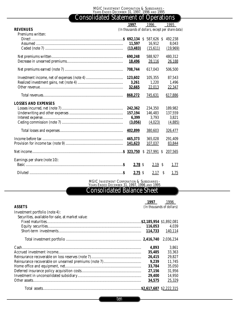# Consolidated Statement of Operations

|                               | 1997                                             | 1996                        |            | 1995     |  |
|-------------------------------|--------------------------------------------------|-----------------------------|------------|----------|--|
| <b>REVENUES</b>               | (In thousands of dollars, except per share data) |                             |            |          |  |
| Premiums written:             |                                                  |                             |            |          |  |
|                               |                                                  | $\mathcal{S}$<br>587,626 \$ |            | 492,238  |  |
|                               | 11,597                                           | 16,912                      |            | 8,043    |  |
|                               | (13, 483)                                        | (15,611)                    |            | (19,969) |  |
|                               | 690,248                                          | 588,927                     |            | 480,312  |  |
|                               | 18,496                                           | 28,116                      |            | 26,188   |  |
|                               | 708,744                                          | 617,043                     |            | 506,500  |  |
|                               | 123,602                                          | 105,355                     |            | 87,543   |  |
|                               | 3,261                                            | 1,220                       |            | 1,496    |  |
|                               | 32,665                                           | 22,013                      |            | 22,347   |  |
|                               | 868,272                                          | 745,631                     |            | 617,886  |  |
| <b>LOSSES AND EXPENSES</b>    |                                                  |                             |            |          |  |
|                               | 242,362                                          | 234,350                     |            | 189,982  |  |
|                               | 157,194                                          | 146,483                     |            | 137,559  |  |
|                               | 6,399                                            | 3,793                       |            | 3,821    |  |
|                               | (3,056)                                          | (4,023)                     |            | (4,885)  |  |
|                               | 402,899                                          | 380,603                     |            | 326,477  |  |
|                               | 465,373                                          | 365,028                     |            | 291,409  |  |
|                               | 141,623                                          | 107,037                     |            | 83,844   |  |
|                               |                                                  | $$257,991$ \$               |            | 207.565  |  |
| Earnings per share (note 10): |                                                  |                             |            |          |  |
|                               | 2.78S                                            |                             | 2.19S      | 1.77     |  |
|                               | $2.75$ \$                                        |                             | 2.17<br>\$ | 1.75     |  |
|                               |                                                  |                             |            |          |  |

MGIC INVESTMENT CORPORATION & SUBSIDIARIES - YEARS ENDED DECEMBER 31, 1997, 1996 AND 1995

# Consolidated Balance Sheet

| <b>ASSETS</b>                                    | 1997    | 1996<br>(In thousands of dollars) |
|--------------------------------------------------|---------|-----------------------------------|
| Investment portfolio (note 4):                   |         |                                   |
| Securities, available-for-sale, at market value: |         |                                   |
|                                                  |         |                                   |
|                                                  | 116,053 | 4,039                             |
|                                                  |         | 140,114                           |
|                                                  |         | 2,036,234                         |
|                                                  | 4.893   | 3,861                             |
|                                                  | 35.485  | 33,363                            |
|                                                  | 26,415  | 29,827                            |
|                                                  | 9,239   | 11,745                            |
|                                                  | 33.784  | 35,050                            |
|                                                  | 27.156  | 31.956                            |
|                                                  | 29.400  | 14,950                            |
|                                                  | 34.575  | 25.329                            |
|                                                  |         |                                   |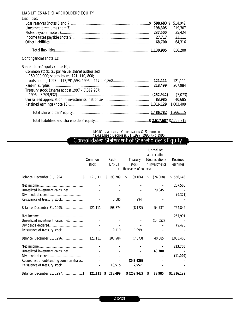### LIABILITIES AND SHAREHOLDERS' EQUITY

| Liabilities:                                     |         |         |
|--------------------------------------------------|---------|---------|
|                                                  |         | 514,042 |
|                                                  | 198,305 | 219,307 |
|                                                  | 237,500 | 35,424  |
|                                                  | 27,717  | 23,111  |
|                                                  | 68,700  | 64,316  |
|                                                  |         | 856,200 |
| Contingencies (note 12)                          |         |         |
| Shareholders' equity (note 10):                  |         |         |
| Common stock, \$1 par value, shares authorized   |         |         |
| 150,000,000; shares issued 121, 110, 800;        |         |         |
|                                                  | 121,111 | 121,111 |
|                                                  | 218,499 | 207,984 |
| Treasury stock (shares at cost 1997 - 7,319,207; |         |         |
|                                                  |         | (7,073) |
|                                                  | 83,985  | 40,685  |
|                                                  |         |         |
|                                                  |         |         |
|                                                  |         |         |

MGIC INVESTMENT CORPORATION & SUBSIDIARIES -

YEARS ENDED DECEMBER 31, 1997, 1996 AND 1995

### Consolidated Statement of Shareholder's Equity

|                                          |                 |                    |                                                       |   | Unrealized                                       |                      |
|------------------------------------------|-----------------|--------------------|-------------------------------------------------------|---|--------------------------------------------------|----------------------|
|                                          | Common<br>stock | Paid-in<br>surplus | <b>Treasury</b><br>stock<br>(In thousands of dollars) |   | appreciation<br>(depreciation)<br>in investments | Retained<br>earnings |
|                                          |                 |                    |                                                       |   |                                                  |                      |
|                                          | 121,111         | \$193,789          | S<br>(9,166)                                          | S | (24, 308)                                        | \$556,648            |
|                                          |                 |                    |                                                       |   |                                                  | 207,565              |
| Unrealized investment gains, net         |                 |                    |                                                       |   | 79,045                                           |                      |
|                                          |                 |                    |                                                       |   |                                                  | (9,371)              |
|                                          |                 | 5,085              | 994                                                   |   |                                                  |                      |
| Balance, December 31, 1995               | 121,111         | 198,874            | (8, 172)                                              |   | 54,737                                           | 754,842              |
|                                          |                 |                    |                                                       |   |                                                  | 257,991              |
| Unrealized investment losses, net        |                 |                    |                                                       |   | (14, 052)                                        |                      |
|                                          |                 |                    |                                                       |   |                                                  | (9, 425)             |
| Reissuance of treasury stock             |                 | 9,110              | 1,099                                                 |   |                                                  |                      |
| Balance, December 31, 1996               | 121,111         | 207,984            | (7,073)                                               |   | 40,685                                           | 1,003,408            |
|                                          |                 |                    |                                                       |   |                                                  | 323,750              |
| Unrealized investment gains, net         |                 |                    |                                                       |   | 43,300                                           |                      |
|                                          |                 |                    |                                                       |   |                                                  | (11,029)             |
| Repurchase of outstanding common shares. |                 |                    | (248, 426)                                            |   |                                                  |                      |
|                                          |                 | 10,515             | 2,557                                                 |   |                                                  |                      |
|                                          | 121,111         | 218,499<br>S       | \$ (252, 942)                                         | S | 83,985                                           | \$1,316,129          |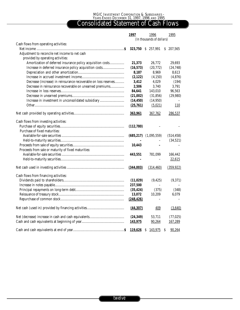#### MGIC INVESTMENT CORPORATION & SUBSIDIARIES - YEARS ENDED DECEMBER 31, 1997, 1996 AND 1995

## Consolidated Statement of Cash Flows

|                                                                 | 1997       | 1996                      | 1995        |
|-----------------------------------------------------------------|------------|---------------------------|-------------|
|                                                                 |            | (In thousands of dollars) |             |
| Cash flows from operating activities:                           |            |                           |             |
|                                                                 | 323,750    | \$ 257,991                | \$ 207,565  |
| Adjustment to reconcile net income to net cash                  |            |                           |             |
| provided by operating activities:                               |            |                           |             |
| Amortization of deferred insurance policy acquisition costs     | 21,373     | 26,772                    | 29,693      |
| Increase in deferred insurance policy acquisition costs         | (16, 573)  | (20, 772)                 | (24, 748)   |
|                                                                 | 8,187      | 8,969                     | 8,613       |
|                                                                 | (2,122)    | (4, 150)                  | (4, 876)    |
| Decrease (increase) in reinsurance recoverable on loss reserves | 3,412      | 4,029                     | (194)       |
| Decrease in reinsurance recoverable on unearned premiums        | 2,506      | 3,740                     | 3,791       |
|                                                                 | 84,641     | 143,010                   | 96,563      |
|                                                                 | (21,002)   | (31, 856)                 | (29,980)    |
| Increase in investment in unconsolidated subsidiary             | (14, 450)  | (14, 950)                 |             |
|                                                                 | (25,761)   | (5,021)                   | 110         |
|                                                                 |            |                           |             |
|                                                                 | 363,961    | 367,762                   | 286,537     |
| Cash flows from investing activities:                           |            |                           |             |
|                                                                 | (112,780)  |                           |             |
| Purchase of fixed maturities:                                   |            |                           |             |
|                                                                 | (685, 217) | (1,095,559)               | (514, 458)  |
|                                                                 |            |                           | (34,521)    |
|                                                                 | 10,443     |                           |             |
| Proceeds from sale or maturity of fixed maturities:             |            |                           |             |
|                                                                 | 443,551    | 781,099                   | 166,442     |
|                                                                 |            | $\overline{\phantom{0}}$  | 22,615      |
|                                                                 |            |                           |             |
|                                                                 | (344,003)  | (314, 460)                | (359, 922)  |
| Cash flows from financing activities:                           |            |                           |             |
|                                                                 | (11,029)   | (9, 425)                  | (9,371)     |
|                                                                 | 237,500    |                           |             |
|                                                                 | (35, 424)  | (375)                     | (348)       |
|                                                                 | 13,072     | 10,209                    | 6.079       |
|                                                                 | (248, 426) |                           |             |
|                                                                 |            |                           |             |
|                                                                 | (44, 307)  | 409                       | (3,640)     |
|                                                                 | (24, 349)  | 53,711                    | (77, 025)   |
|                                                                 | 143,975    | 90,264                    | 167,289     |
|                                                                 |            |                           |             |
|                                                                 | 119,626    | $\mathsf{S}$<br>143,975   | S<br>90,264 |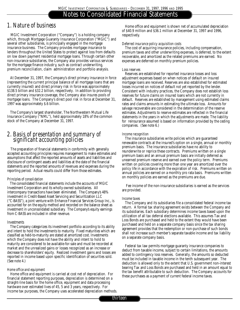# Notes to Consolidated Financial Statements

# *1. Nature of business*

MGIC Investment Corporation ("Company") is a holding company which, through Mortgage Guaranty Insurance Corporation ("MGIC") and several other subsidiaries, is principally engaged in the mortgage insurance business. The Company provides mortgage insurance to lenders throughout the United States to protect against loss from defaults on low down payment residential mortgage loans. Through certain other non-insurance subsidiaries, the Company also provides various services for the mortgage finance industry, such as contract underwriting, premium reconciliation, claim administration and portfolio analysis.

At December 31, 1997, the Company's direct primary insurance in force (representing the current principal balance of all mortgage loans that are currently insured) and direct primary risk in force was approximately \$138.5 billion and \$32.2 billion, respectively. In addition to providing direct primary insurance coverage, the Company also insures pools of mortgage loans. The Company's direct pool risk in force at December 31, 1997 was approximately \$.6 billion.

The Company's largest shareholder, The Northwestern Mutual Life Insurance Company ("NML"), held approximately 18% of the common stock of the Company at December 31, 1997.

## *2. Basis of presentation and summary of significant accounting policies*

The preparation of financial statements in conformity with generally accepted accounting principles requires management to make estimates and assumptions that affect the reported amounts of assets and liabilities and disclosure of contingent assets and liabilities at the date of the financial statements and the reported amounts of revenues and expenses during the reporting period. Actual results could differ from those estimates.

### *Principles of consolidation*

The consolidated financial statements include the accounts of MGIC Investment Corporation and its wholly-owned subsidiaries. All intercompany transactions have been eliminated. The Company's 48% investment in Credit-Based Asset Servicing and Securitization LLC ("C-BASS"), a joint venture with Enhance Financial Services Group Inc., is accounted for on the equity method and recorded on the balance sheet as investment in unconsolidated subsidiary. The Company's equity earnings from C-BASS are included in other revenue.

### *<u>Investments</u>*

The Company categorizes its investment portfolio according to its ability and intent to hold the investments to maturity. Fixed maturities which are classified as held-to-maturity are stated at amortized cost. Investments which the Company does not have the ability and intent to hold to maturity are considered to be available-for-sale and must be recorded at market and the unrealized gains or losses recognized as an increase or decrease to shareholders' equity. Realized investment gains and losses are reported in income based upon specific identification of securities sold. (See note 4.)

### *Home office and equipment*

Home office and equipment is carried at cost net of depreciation. For financial statement reporting purposes, depreciation is determined on a straight-line basis for the home office, equipment and data processing hardware over estimated lives of 45, 5 and 3 years, respectively. For income tax purposes, the Company uses accelerated depreciation methods.

Home office and equipment is shown net of accumulated depreciation of \$40.9 million and \$36.1 million at December 31, 1997 and 1996, respectively.

### *Deferred insurance policy acquisition costs*

The cost of acquiring insurance policies, including compensation, premium taxes and other underwriting expenses, is deferred, to the extent recoverable, and amortized as the related premiums are earned. No expenses are deferred on monthly premium policies.

### *Loss reserves*

Reserves are established for reported insurance losses and loss adjustment expenses based on when notices of default on insured mortgage loans are received. Reserves are also established for estimated losses incurred on notices of default not yet reported by the lender. Consistent with industry practices, the Company does not establish loss reserves for future claims on insured loans which are not currently in default. Reserves are established by management using estimated claims rates and claims amounts in estimating the ultimate loss. Amounts for salvage recoverable are considered in the determination of the reserve estimates. Adjustments to reserve estimates are reflected in the financial statements in the years in which the adjustments are made. The liability for reinsurance assumed is based on information provided by the ceding companies. (See note 6.)

### *Income recognition*

The insurance subsidiaries write policies which are guaranteed renewable contracts at the insured's option on a single, annual or monthly premium basis. The insurance subsidiaries have no ability to reunderwrite or reprice these contracts. Premiums written on a single premium basis and an annual premium basis are initially deferred as unearned premium reserve and earned over the policy term. Premiums written on policies covering more than one year are amortized over the policy life in accordance with the expiration of risk. Premiums written on annual policies are earned on a monthly pro rata basis. Premiums written on monthly policies are earned as the premiums are due.

Fee income of the non-insurance subsidiaries is earned as the services are provided.

### *Income taxes*

The Company and its subsidiaries file a consolidated federal income tax return. A formal tax sharing agreement exists between the Company and its subsidiaries. Each subsidiary determines income taxes based upon the utilization of all tax deferral elections available. This assumes Tax and Loss Bonds are purchased and held to the extent they would have been purchased and held on a separate company basis since the tax sharing agreement provides that the redemption or non-purchase of such bonds shall not increase such member's separate taxable income and tax liability on a separate company basis.

Federal tax law permits mortgage guaranty insurance companies to deduct from taxable income, subject to certain limitations, the amounts added to contingency loss reserves. Generally, the amounts so deducted must be included in taxable income in the tenth subsequent year. The deduction is allowed only to the extent that U.S. government non-interest bearing Tax and Loss Bonds are purchased and held in an amount equal to the tax benefit attributable to such deduction. The Company accounts for these purchases as a payment of current federal income taxes.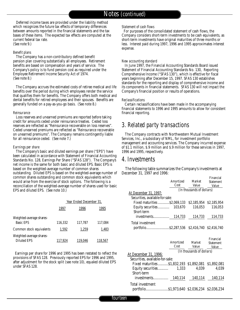Deferred income taxes are provided under the liability method which recognizes the future tax effects of temporary differences between amounts reported in the financial statements and the tax bases of these items. The expected tax effects are computed at the current federal tax rate. (See note 9.)

#### *Benefit plans*

The Company has a non-contributory defined benefit pension plan covering substantially all employees. Retirement benefits are based on compensation and years of service. The Company's policy is to fund pension cost as required under the Employee Retirement Income Security Act of 1974. (See note 8.)

The Company accrues the estimated costs of retiree medical and life benefits over the period during which employees render the service that qualifies them for benefits. The Company offers both medical and dental benefits for retired employees and their spouses. Benefits are generally funded on a pay-as-you-go basis. (See note 8.)

#### *Reinsurance*

Loss reserves and unearned premiums are reported before taking credit for amounts ceded under reinsurance treaties. Ceded loss reserves are reflected as "Reinsurance recoverable on loss reserves". Ceded unearned premiums are reflected as "Reinsurance recoverable on unearned premiums". The Company remains contingently liable for all reinsurance ceded. (See note 7.)

#### *Earnings per share*

The Company's basic and diluted earnings per share ("EPS") have been calculated in accordance with Statement of Financial Accounting Standards No. 128, Earnings Per Share ("SFAS 128"). The Company's net income is the same for both basic and diluted EPS. Basic EPS is based on the weighted-average number of common shares outstanding. Diluted EPS is based on the weighted-average number of common shares outstanding and common stock equivalents which would arise from the exercise of stock options. The following is a reconciliation of the weighted-average number of shares used for basic EPS and diluted EPS. (See note 10.)

|                                                |         | Year Ended December 31, |         |
|------------------------------------------------|---------|-------------------------|---------|
|                                                | 1997    | 1996                    | 1995    |
| Weighted-average shares-<br><b>Basic EPS</b>   | 116.332 | 117,787                 | 117,084 |
| Common stock equivalents                       | 1,592   | 1,259                   | 1,483   |
| Weighted-average shares-<br><b>Diluted EPS</b> | 117,924 | 119,046                 | 118,567 |

Earnings per share for 1996 and 1995 has been restated to reflect the provisions of SFAS 128. Previously reported EPS for 1996 and 1995, after adjustment for the stock split (see note 10), equaled diluted EPS under SFAS 128.

#### *Statement of cash flows*

For purposes of the consolidated statement of cash flows, the Company considers short-term investments to be cash equivalents, as short-term investments have original maturities of three months or less. Interest paid during 1997, 1996 and 1995 approximates interest expense.

#### *New accounting standard*

In June 1997, the Financial Accounting Standards Board issued Statement of Financial Accounting Standards No. 130, Reporting Comprehensive Income ("SFAS 130"), which is effective for fiscal years beginning after December 15, 1997. SFAS 130 establishes standards for the reporting and display of comprehensive income and its components in financial statements. SFAS 130 will not impact the Company's financial position or results of operations.

#### *Reclassifications*

Certain reclassifications have been made in the accompanying financial statements to 1996 and 1995 amounts to allow for consistent financial reporting.

### *3. Related party transactions*

The Company contracts with Northwestern Mutual Investment Services, Inc., a subsidiary of NML, for investment portfolio management and accounting services. The Company incurred expense of \$1.1 million, \$.9 million and \$.9 million for these services in 1997, 1996 and 1995, respectively.

### *4. Investments*

The following table summarizes the Company's investments at December 31, 1997 and 1996:

|                                                                  |           |                           | Financial        |
|------------------------------------------------------------------|-----------|---------------------------|------------------|
|                                                                  | Amortized | Market                    | <b>Statement</b> |
|                                                                  | Cost      | <b>Value</b>              | Value            |
|                                                                  |           | (In thousands of dollars) |                  |
| At December 31, 1997:                                            |           |                           |                  |
| Securities, available-for-sale:                                  |           |                           |                  |
| Fixed maturities  \$2,069,133 \$2,185,954 \$2,185,954            |           |                           |                  |
|                                                                  |           | 116,053                   | 116,053          |
| Short-term                                                       |           |                           |                  |
|                                                                  |           |                           |                  |
| Total investment                                                 |           |                           |                  |
|                                                                  |           |                           |                  |
|                                                                  |           |                           |                  |
|                                                                  |           |                           |                  |
|                                                                  |           |                           |                  |
|                                                                  |           | Amortized Market          | Financial        |
|                                                                  | Cost      | Value                     | <b>Statement</b> |
|                                                                  |           |                           | Value            |
| <u>At December 31, 1996:</u>                                     |           | (In thousands of dollars) |                  |
| Securities, available-for-sale:                                  |           |                           |                  |
| Fixed maturities\$1,832,193 \$1,892,081 \$1,892,081              |           |                           |                  |
|                                                                  |           |                           |                  |
| Short-term                                                       |           | 4,039                     | 4,039            |
|                                                                  |           |                           |                  |
|                                                                  |           |                           |                  |
| Total investment<br>portfolio\$1,973,640 \$2,036,234 \$2,036,234 |           |                           |                  |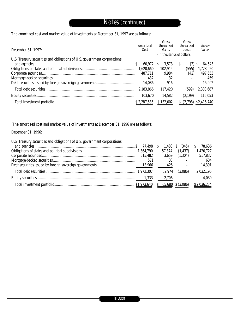The amortized cost and market value of investments at December 31, 1997 are as follows:

| December 31, 1997:                                                       | Amortized<br>Cost | Gross<br>Unrealized<br>Gains | Gross<br>Unrealized<br>Losses | Market<br>Value |
|--------------------------------------------------------------------------|-------------------|------------------------------|-------------------------------|-----------------|
|                                                                          |                   | (In thousands of dollars)    |                               |                 |
| U.S. Treasury securities and obligations of U.S. government corporations | 60,972            | 3.573<br>S.                  | S<br>(2)                      | 64,543<br>S     |
|                                                                          | 1,620,660         | 102.915                      | (555)                         | 1,723,020       |
|                                                                          | 487.711           | 9.984                        | (42)                          | 497,653         |
|                                                                          | 437               | 32                           |                               | 469             |
|                                                                          | 14,086            | 916                          |                               | 15,002          |
|                                                                          | 2,183,866         | 117.420                      | (599)                         | 2,300,687       |
|                                                                          | 103,670           | 14,582                       | (2,199)                       | 116,053         |
|                                                                          |                   | \$132,002                    | (2,798)                       | \$2,416,740     |

The amortized cost and market value of investments at December 31, 1996 are as follows:

### December 31, 1996:

| U.S. Treasury securities and obligations of U.S. government corporations |          |            |                                                             |             |
|--------------------------------------------------------------------------|----------|------------|-------------------------------------------------------------|-------------|
|                                                                          | 77,498 S | $1,483$ \$ | (345)                                                       | 78,636      |
|                                                                          |          | 57,374     | (1, 437)                                                    | 1,420,727   |
|                                                                          | 515,482  | 3,659      | (1,304)                                                     | 517,837     |
|                                                                          | 571      | 33         |                                                             | 604         |
|                                                                          |          | 425        | $\mathcal{L}_{\mathcal{A}}$ and $\mathcal{L}_{\mathcal{A}}$ | 14,391      |
|                                                                          |          | 62.974     | (3,086)                                                     | 2,032,195   |
|                                                                          | 1,333    | 2,706      |                                                             | 4,039       |
|                                                                          |          |            | 65,680 \$ (3,086)                                           | \$2,036,234 |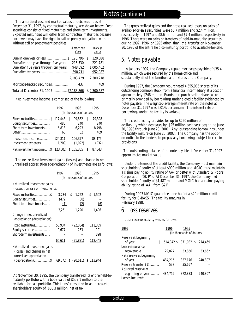The amortized cost and market values of debt securities at December 31, 1997, by contractual maturity, are shown below. Debt securities consist of fixed maturities and short-term investments. Expected maturities will differ from contractual maturities because borrowers may have the right to call or prepay obligations with or without call or prepayment penalties.

|                                                                                 | Amortized<br>Cost  | Market<br>Value      |
|---------------------------------------------------------------------------------|--------------------|----------------------|
|                                                                                 | 120.796            | 120,888<br>S         |
| Due after one year through five years<br>Due after five years through ten years | 215,530<br>948,392 | 221,781<br>1,005,462 |
|                                                                                 | 898,711            | 952,087              |
|                                                                                 | 2.183.429          | 2,300,218            |
| Mortgage-backed securities                                                      | 437                | 469                  |
| Total at December 31, 1997\$2,183,866                                           |                    | \$2,300,687          |

Net investment income is comprised of the following:

|                                  | 1997                      |   | 1996      |   | 1995   |
|----------------------------------|---------------------------|---|-----------|---|--------|
|                                  | (In thousands of dollars) |   |           |   |        |
| Fixed maturities \$117,448       |                           | S | 99.832    | S | 79.328 |
| Equity securities                | 485                       |   | 240       |   | 240    |
| Short-term investments           | 6.813                     |   | 6.223     |   | 8.498  |
|                                  | 65                        |   | 82        |   | 409    |
| Investment income                | 124.811                   |   | 106.377   |   | 88.475 |
| Investment expenses              | (1,209)                   |   | (1,022)   |   | (932)  |
| Net investment income \$ 123,602 |                           |   | \$105,355 |   | 87.543 |

The net realized investment gains (losses) and change in net unrealized appreciation (depreciation) of investments are as follows:

|                                                                                        | 1997                      | 1996                                                                      | 1995                                    |
|----------------------------------------------------------------------------------------|---------------------------|---------------------------------------------------------------------------|-----------------------------------------|
|                                                                                        |                           | (In thousands of dollars)                                                 |                                         |
| Net realized investment gains<br>(losses), on sale of investments:                     |                           |                                                                           |                                         |
| Fixed maturitiesS<br>Equity securities<br>Short-term investments                       | (472)<br>(1)              | 3,734 S 1,252<br>(30)<br>(2)                                              | \$1,502<br>(6)                          |
| Change in net unrealized<br>appreciation (depreciation):                               | 3,261                     | 1,220                                                                     | 1,496                                   |
| Fixed maturities<br>Equity securities<br>Short-term investments                        | 56,934<br>9,677<br>66,611 | (22.064)<br>233<br>(21, 831)                                              | 111,359<br>191<br><u>898</u><br>112,448 |
| Net realized investment gains<br>(losses) and change in net<br>unrealized appreciation |                           | $\underline{69,872}$ $\underline{S}$ $(20,611)$ $\underline{S}$ $113,944$ |                                         |

At November 30, 1995, the Company transferred its entire held-tomaturity portfolio with a book value of \$557.1 million to the available-for-sale portfolio. This transfer resulted in an increase to shareholders' equity of \$30.3 million, net of tax.

The gross realized gains and the gross realized losses on sales of available-for-sale securities were \$5.7 million and \$2.4 million, respectively in 1997 and \$8.6 million and \$7.4 million, respectively in 1996. There were no sales or transfers of held-to-maturity securities during 1997, 1996 or 1995 other than the transfer on November 30, 1995 of the entire held-to-maturity portfolio to available-for-sale.

## *5. Notes payable*

In January 1997, the Company repaid mortgages payable of \$35.4 million, which were secured by the home office and substantially all of the furniture and fixtures of the Company.

During 1997, the Company repurchased 4,655,985 shares of its outstanding common stock from a financial intermediary at a cost of approximately \$248 million. Funds to repurchase the shares were primarily provided by borrowings under a credit facility evidenced by notes payable. The weighted-average interest rate on the notes at December 31, 1997 was 6.01% per annum. The interest rate on borrowings under the facility is variable.

The credit facility provides for up to \$250 million of availability which decreases by \$25 million each year beginning June 20, 1998 through June 20, 2001. Any outstanding borrowings under the facility mature on June 20, 2002. The Company has the option, on notice to the lenders, to prepay any borrowings subject to certain provisions.

The outstanding balance of the note payable at December 31, 1997 approximates market value.

Under the terms of the credit facility, the Company must maintain shareholders' equity of at least \$900 million and MGIC must maintain a claims paying ability rating of AA- or better with Standard & Poor's Corporation ("S&P"). At December 31, 1997, the Company had shareholders' equity of \$1,487 million and MGIC had a claims paying ability rating of AA+ from S&P.

During 1997 MGIC guaranteed one half of a \$20 million credit facility for C-BASS. The facility matures in February 1998.

### *6. Loss reserves*

Loss reserve activity was as follows

| 1997                     | 1996                          | 1995                      |         |
|--------------------------|-------------------------------|---------------------------|---------|
|                          |                               | (In thousands of dollars) |         |
| Reserve at beginning     |                               |                           |         |
|                          | 514,042 \$ 371,032 \$ 274,469 |                           |         |
| Less reinsurance         |                               |                           |         |
| recoverable              | 29,827                        | 33,856                    | 33,662  |
| Net reserve at beginning |                               |                           |         |
|                          | 484,215                       | 337,176                   | 240,807 |
| Reserve transfer (1)     | 537                           | 35,657                    |         |
| Adjusted reserve at      |                               |                           |         |
| beginning of year        | 484,752                       | 372.833                   | 240,807 |
| Losses incurred:         |                               |                           |         |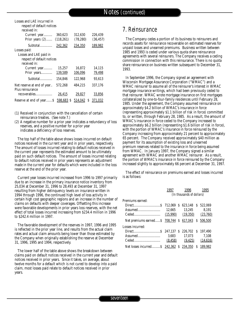| Losses and LAE incurred in           |                |           |               |
|--------------------------------------|----------------|-----------|---------------|
| respect of default notices           |                |           |               |
| received in:                         |                |           |               |
| Current year                         | 360,623        | 312,630   | 226,439       |
| Prior years $(2)$                    | (118, 261)     | (78, 280) | (36, 457)     |
| Subtotal                             | 242,362        | 234,350   | 189,982       |
| Losses paid:                         |                |           |               |
| Losses and LAE paid in               |                |           |               |
| respect of default notices           |                |           |               |
| received in:                         |                |           |               |
| Current year                         | 15,257         | 16,872    | 14,115        |
| Prior years                          | <u>139,589</u> | 106,096   | 79,498        |
|                                      | 154,846        | 122,968   | 93.613        |
| Net reserve at end of year           | 572,268        | 484,215   | 337,176       |
| Plus reinsurance                     |                |           |               |
| recoverables                         | 26,415         | 29,827    | 33,856        |
| Reserve at end of year \$ 598,683 \$ |                | 514,042   | -S<br>371.032 |

- (1) Received in conjunction with the cancellation of certain reinsurance treaties. (See note 7.)
- (2) A negative number for a prior year indicates a redundancy of loss reserves, and a positive number for a prior year indicates a deficiency of loss reserves.

The top half of the table above shows losses incurred on default notices received in the current year and in prior years, respectively. The amount of losses incurred relating to default notices received in the current year represents the estimated amount to be ultimately paid on such default notices. The amount of losses incurred relating to default notices received in prior years represents an adjustment made in the current year for defaults which were included in the loss reserve at the end of the prior year.

Current year losses incurred increased from 1996 to 1997 primarily due to an increase in the primary insurance notice inventory from 25,034 at December 31, 1996 to 28,493 at December 31, 1997 resulting from higher delinquency levels on insurance written in 1994 through 1996, the continued high level of loss activity in certain high cost geographic regions and an increase in the number of claims on defaults with deeper coverages. Offsetting this increase were favorable developments in prior years loss reserves, with the net effect of total losses incurred increasing from \$234.4 million in 1996 to \$242.4 million in 1997.

The favorable development of the reserves in 1997, 1996 and 1995 is reflected in the prior year line, and results from the actual claim rates and actual claim amounts being lower than those estimated by the Company when originally establishing the reserve at December 31, 1996, 1995 and 1994, respectively.

The lower half of the table above shows the breakdown between claims paid on default notices received in the current year and default notices received in prior years. Since it takes, on average, about twelve months for a default which is not cured to develop into a paid claim, most losses paid relate to default notices received in prior years.

## *7. Reinsurance*

The Company cedes a portion of its business to reinsurers and records assets for reinsurance recoverable on estimated reserves for unpaid losses and unearned premiums. Business written between 1985 and 1993 is ceded under various quota share reinsurance agreements with several reinsurers. The Company receives a ceding commission in connection with this reinsurance. There is no quota share reinsurance on business written subsequent to December 31, 1993.

In September 1996, the Company signed an agreement with Wisconsin Mortgage Assurance Corporation ("WMAC") and a WMAC reinsurer to assume all of the reinsurer's interest in WMAC mortgage insurance writings, which had been previously ceded to that reinsurer. WMAC wrote mortgage insurance on first mortgages collateralized by one-to-four-family residences until February 28, 1985. Under the agreement, the Company assumed reinsurance on approximately \$4.2 billion of WMAC's insurance in force (representing approximately \$1.1 billion of risk in force) committed to, or written, through February 28, 1985. As a result, the amount of WMAC's insurance in force ceded to the Company increased to approximately \$6.2 billion (representing \$1.6 billion of risk in force), with the portion of WMAC's insurance in force reinsured by the Company increasing from approximately 21 percent to approximately 65 percent. The Company received approximately \$40 million as payment for its assumption of existing loss and unearned premium reserves related to the insurance in force being assumed from WMAC. In January 1997, the Company signed a similar agreement with WMAC and another WMAC reinsurer. As a result, the portion of WMAC's insurance in force reinsured by the Company increased slightly to approximately 66 percent at December 31, 1997.

The effect of reinsurance on premiums earned and losses incurred is as follows:

|                                                      | 1997 — | 1996 —                         | 1995    |
|------------------------------------------------------|--------|--------------------------------|---------|
|                                                      |        | (In thousands of dollars)      |         |
| Premiums earned:                                     |        |                                |         |
|                                                      |        |                                |         |
|                                                      |        |                                |         |
|                                                      |        |                                |         |
| Net premiums earned \$ 708,744 \$ 617,043 \$         |        |                                | 506.500 |
| Losses incurred:                                     |        |                                |         |
|                                                      |        |                                |         |
|                                                      |        | 3,683 17,073 7,108             |         |
|                                                      |        | $(8,458)$ $(9,425)$ $(14,616)$ |         |
| Net losses incurred \$ 242,362 \$ 234,350 \$ 189,982 |        |                                |         |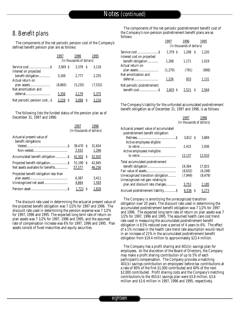## *8. Benefit plans*

The components of the net periodic pension cost of the Company's defined benefit pension plan are as follows:

|                              | 1997      | 1996<br>(In thousands of dollars) | 1995    |
|------------------------------|-----------|-----------------------------------|---------|
|                              | 3.569S    | 3.378 S                           | 3.118   |
| Interest on projected        |           |                                   |         |
| benefit obligation           | 3,169     | 2.777                             | 2.255   |
| Actual return on             |           |                                   |         |
|                              | (8, 865)  | (5,235)                           | (7,532) |
| Net amortization and         |           |                                   |         |
|                              | 5,356     | 2,179                             | 5,375   |
| Net periodic pension cost \$ | 3.22<br>S |                                   | 3.216   |

The following lists the funded status of the pension plan as of December 31, 1997 and 1996:

|                                                    | 1997<br>(In thousands of dollars) |    | 1996             |
|----------------------------------------------------|-----------------------------------|----|------------------|
| Actuarial present value of<br>benefit obligations: |                                   |    |                  |
|                                                    | 39.470 S<br>2,032                 |    | 31.654<br>1,266  |
|                                                    | 41,502                            | -S | 32,920           |
| Net assets available for benefits                  | 51,190<br>57,577                  | -S | 42,845<br>46,256 |
| Projected benefit obligation less than             | 6,387<br>4,664                    |    | 3.411<br>1,583   |
|                                                    | 1.723                             | S  | 1.828            |

The discount rate used in determining the actuarial present value of the projected benefit obligation was 7 1/2% for 1997 and 1996. The discount rate used in determining the pension expense was 7 1/2% for 1997, 1996 and 1995. The expected long term rate of return on plan assets was 7 1/2% for 1997, 1996 and 1995, and the assumed rate of compensation increase was 6% for 1997, 1996 and 1995. Plan assets consist of fixed maturities and equity securities.

The components of the net periodic postretirement benefit cost of the Company's non-pension postretirement benefit plans are as follows:

|                             | 1997    | 1996<br>(In thousands of dollars) | 1995  |
|-----------------------------|---------|-----------------------------------|-------|
| Interest cost on projected  | 1.379 S | 1.208<br>- S                      | 1.220 |
| benefit obligation          | 1,268   | 1,171                             | 1,019 |
| Actual return on            | (1,270) | (791)                             | (806) |
| Net amortization and        | 1,226   | 933                               | 1,131 |
| Net periodic postretirement | 2.603   | 2.52                              | 2.56  |

The Company's liability for the unfunded accumulated postretirement benefit obligation as of December 31, 1997 and 1996, is as follows:

|                                        | 1997                      |   | 1996     |
|----------------------------------------|---------------------------|---|----------|
|                                        | (In thousands of dollars) |   |          |
| Actuarial present value of accumulated |                           |   |          |
| postretirement benefit obligation:     |                           |   |          |
|                                        | 3.812 S                   |   | 3,869    |
| Active employees eligible              |                           |   |          |
|                                        | 2.415                     |   | 1,936    |
| Active employees ineligible            |                           |   |          |
|                                        | 13,137                    |   | 12,010   |
| Total accumulated postretirement       |                           |   |          |
|                                        | 19.364                    |   | 17.815   |
|                                        | (8,632)                   |   | (6, 248) |
| Unrecognized transition obligation     | (7, 949)                  |   | (8, 479) |
| Unrecognized net gain relating to      |                           |   |          |
| plan and discount rate changes         | 3,753                     |   | 2,185    |
|                                        | 6,536                     | S | 5,273    |

The Company is amortizing the unrecognized transition obligation over 20 years. The discount rate used in determining the accumulated postretirement benefit obligation was 7 1/2% for 1997 and 1996. The expected long term rate of return on plan assets was 7 1/2% for 1997, 1996 and 1995. The assumed health care cost trend rate used in measuring the accumulated postretirement benefit obligation is 8.5% reduced over a period of 4 years to 6%. The effect of a 1% increase in the health care trend rate assumption would result in an increase of 21% in the accumulated postretirement benefit obligation from \$19.4 million to approximately \$23.4 million.

The Company has a profit sharing and 401(k) savings plan for employees. At the discretion of the Board of Directors, the Company may make a profit sharing contribution of up to 5% of each participant's compensation. The Company provides a matching 401(k) savings contribution on employees' before-tax contributions at a rate of 80% of the first \$1,000 contributed and 40% of the next \$2,000 contributed. Profit sharing costs and the Company's matching contributions to the 401(k) savings plan were \$3.8 million, \$3.6 million and \$3.6 million in 1997, 1996 and 1995, respectively.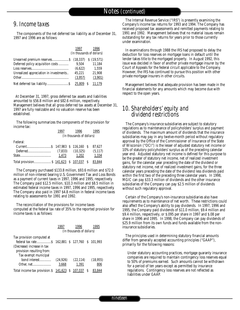## *9. Income taxes*

The components of the net deferred tax liability as of December 31, 1997 and 1996 are as follows:

|                                        | 1997    | 1996<br>(In thousands of dollars) |
|----------------------------------------|---------|-----------------------------------|
|                                        |         |                                   |
| Deferred policy acquisition costs      | 9.504   | 11,184                            |
|                                        | (6,622) | 1.559                             |
| Unrealized appreciation in investments | 45.221  | 21,908                            |
|                                        | (3,957) | (3,901)                           |
|                                        | 25,809  | 11.179                            |

At December 31, 1997, gross deferred tax assets and liabilities amounted to \$56.8 million and \$82.6 million, respectively. Management believes that all gross deferred tax assets at December 31, 1997 are fully realizable and no valuation reserve has been established.

The following summarizes the components of the provision for income tax:

|                                          | 1996<br>1997              |  |       |  | 1995   |  |  |  |
|------------------------------------------|---------------------------|--|-------|--|--------|--|--|--|
|                                          | (In thousands of dollars) |  |       |  |        |  |  |  |
| Federal:                                 |                           |  |       |  |        |  |  |  |
|                                          |                           |  |       |  | 87.627 |  |  |  |
|                                          |                           |  |       |  |        |  |  |  |
|                                          | 1.473                     |  | 1.202 |  | 1,334  |  |  |  |
| Total provision \$ 141,623 \$ 107,037 \$ |                           |  |       |  | 83.844 |  |  |  |

The Company purchased \$133.8 million, \$93.6 million and \$72.0 million of non-interest bearing U.S. Government Tax and Loss Bonds as a payment of current taxes in 1997, 1996 and 1995, respectively. The Company paid \$12.5 million, \$10.3 million and \$8.5 million in estimated federal income taxes in 1997, 1996 and 1995, respectively. The Company also paid in 1997 \$4.8 million in federal income taxes relating to assessments for 1991 and 1992.

The reconciliation of the provisions for income taxes computed at the federal tax rate of 35% to the reported provision for income taxes is as follows:

|                                                         | 1997<br>1996<br>1995<br>(In thousands of dollars) |  |                               |  |           |  |  |  |
|---------------------------------------------------------|---------------------------------------------------|--|-------------------------------|--|-----------|--|--|--|
| Tax provision computed at<br>(Decrease) increase in tax |                                                   |  | 162,881 \$ 127,760 \$ 101,993 |  |           |  |  |  |
| provision resulting from:<br>Tax exempt municipal       |                                                   |  |                               |  |           |  |  |  |
| bond interest                                           | (24.926)                                          |  | (22, 114)                     |  | (18, 955) |  |  |  |
|                                                         | 3.668                                             |  | 1,391                         |  | 806       |  |  |  |
| Total income tax provision. $$141,623$ $$107,037$       |                                                   |  |                               |  |           |  |  |  |

The Internal Revenue Service ("IRS") is presently examining the Company's income tax returns for 1993 and 1994. The Company has received proposed tax assessments and remitted payments relating to 1991 and 1992. Management believes that no material issues remain outstanding for any tax returns for years prior to those currently under examination.

In examinations through 1988 the IRS had proposed to delay the deduction for loss reserves on mortgage loans in default until the lender takes title to the mortgaged property. In August 1992, this issue was decided in favor of another private mortgage insurer by the Court of Appeals for the federal circuit applicable to the Company. However, the IRS has continued to pursue this position with other private mortgage insurers in other circuits.

Management believes that adequate provision has been made in the financial statements for any amounts which may become due with respect to the open years.

### *10. Shareholders' equity and dividend restrictions*

The Company's insurance subsidiaries are subject to statutory regulations as to maintenance of policyholders' surplus and payment of dividends. The maximum amount of dividends that the insurance subsidiaries may pay in any twelve-month period without regulatory approval by the Office of the Commissioner of Insurance of the State of Wisconsin ("OCI") is the lesser of adjusted statutory net income or 10% of statutory policyholders' surplus as of the preceding calendar year end. Adjusted statutory net income is defined for this purpose to be the greater of statutory net income, net of realized investment gains, for the calendar year preceding the date of the dividend or statutory net income, net of realized investment gains, for the three calendar years preceding the date of the dividend less dividends paid within the first two of the preceding three calendar years. In 1998, MGIC can pay \$33.3 million of dividends and the other insurance subsidiaries of the Company can pay \$2.5 million of dividends without such regulatory approval.

Certain of the Company's non-insurance subsidiaries also have requirements as to maintenance of net worth. These restrictions could also affect the Company's ability to pay dividends. In 1997, 1996 and 1995, the Company paid dividends of \$11.0 million, \$9.4 million and \$9.4 million, respectively, or \$.095 per share in 1997 and \$.08 per share in 1996 and 1995. In 1998, the Company can pay dividends of \$25.9 million from its own funds and funds available from the noninsurance subsidiaries.

The principles used in determining statutory financial amounts differ from generally accepted accounting principles ("GAAP"), primarily for the following reasons:

Under statutory accounting practices, mortgage guaranty insurance companies are required to maintain contingency loss reserves equal to 50% of premiums earned. Such amounts cannot be withdrawn for a period of ten years except as permitted by insurance regulations. Contingency loss reserves are not reflected as liabilities under GAAP.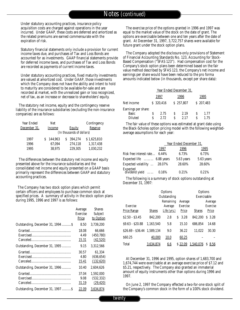Under statutory accounting practices, insurance policy acquisition costs are charged against operations in the year incurred. Under GAAP, these costs are deferred and amortized as the related premiums are earned commensurate with the expiration of risk.

Statutory financial statements only include a provision for current income taxes due, and purchases of Tax and Loss Bonds are accounted for as investments. GAAP financial statements provide for deferred income taxes, and purchases of Tax and Loss Bonds are recorded as payments of current income taxes.

Under statutory accounting practices, fixed maturity investments are valued at amortized cost. Under GAAP, those investments which the Company does not have the ability and intent to hold to maturity are considered to be available-for-sale and are recorded at market, with the unrealized gain or loss recognized, net of tax, as an increase or decrease to shareholders' equity.

The statutory net income, equity and the contingency reserve liability of the insurance subsidiaries (excluding the non-insurance companies) are as follows:

| Year Ended   |        | Net     |                           | Contingency |
|--------------|--------|---------|---------------------------|-------------|
| December 31, | Income |         | <b>Equity</b>             | Reserve     |
|              |        |         | (In thousands of dollars) |             |
| 1997         |        | 144.963 | 394.274                   | \$1.625.810 |
| 1996         |        | 67.094  | 274.118                   | 1.317.438   |
| 1995         |        | 38.975  | 229.305                   | 1,030,232   |

The differences between the statutory net income and equity presented above for the insurance subsidiaries and the consolidated net income and equity presented on a GAAP basis primarily represent the differences between GAAP and statutory accounting practices.

The Company has two stock option plans which permit certain officers and employees to purchase common stock at specified prices. A summary of activity in the stock option plans during 1995, 1996 and 1997 is as follows:

|                                    | Average      | <b>Shares</b> |
|------------------------------------|--------------|---------------|
|                                    | Exercise     | Subject       |
|                                    | Price        | to Option     |
| Outstanding, December 31, 1994  \$ | 8.50         | 3.739.200     |
|                                    | 18.08        | 66,666        |
|                                    | 4.49         | (450,780)     |
|                                    | 15.31        | (42,520)      |
| Outstanding, December 31, 1995     | 9.15         | 3,312,566     |
|                                    | 30.57        | 61.334        |
|                                    | 4.80         | (636, 654)    |
|                                    | <u>15.41</u> | (132, 620)    |
| Outstanding, December 31, 1996     | 10.40        | 2.604.626     |
|                                    | 37.04        | 1.592.000     |
|                                    | 9.08         | (532, 332)    |
|                                    | 31.19        | (29, 420)     |
| Outstanding, December 31, 1997     | 22.09        | 3,634,874     |

The exercise price of the options granted in 1996 and 1997 was equal to the market value of the stock on the date of grant. The options are exercisable between one and ten years after the date of grant. At December 31, 1997, 3,722,757 shares were available for future grant under the stock option plans.

The Company adopted the disclosure-only provisions of Statement of Financial Accounting Standards No. 123, Accounting for Stock-Based Compensation ("SFAS 123"). Had compensation cost for the Company's stock option plans been determined based on the fair value method described by SFAS 123, the Company's net income and earnings per share would have been reduced to the pro forma amounts indicated below (in thousands, except per share data):

| 1997 |           | 1995 |                                              |           |
|------|-----------|------|----------------------------------------------|-----------|
|      |           |      |                                              | \$207,483 |
|      |           |      |                                              |           |
| 2.75 |           | 2.19 |                                              | 1.77      |
| 2.72 |           | 2.17 |                                              | 1.75      |
|      | \$320,416 |      | Year Ended December 31,<br>1996<br>\$257,807 |           |

The fair value of these options was estimated at grant date using the Black-Scholes option pricing model with the following weightedaverage assumptions for each year:

|                                           | Year Ended December 31, |            |  |  |  |  |  |  |
|-------------------------------------------|-------------------------|------------|--|--|--|--|--|--|
| 1997                                      | 1996                    | 1995       |  |  |  |  |  |  |
| Risk free interest rate 6.44%             | 6.73%                   | 6.73%      |  |  |  |  |  |  |
| Expected life  6.88 years                 | 5.63 years              | 5.63 years |  |  |  |  |  |  |
| Expected volatility  28.07%               | 28.60%                  | 28.60%     |  |  |  |  |  |  |
| Expected<br>dividend yield          0.16% | 0.21%                   | 0.21%      |  |  |  |  |  |  |

The following is a summary of stock options outstanding at December 31, 1997:

|                             | Options<br>Outstanding |               |                 |               |          |  |  |
|-----------------------------|------------------------|---------------|-----------------|---------------|----------|--|--|
|                             |                        | Remaining     | Average         | Exercisable   | Average  |  |  |
| Exercise                    |                        | Average       | <b>Exercise</b> |               | Exercise |  |  |
| Price Range                 | <b>Shares</b>          | Life $(yrs.)$ | Price           | <b>Shares</b> | Price    |  |  |
| $$2.50 - $3.45$             | 842.200                | 2.8           | 3.28<br>S       | 842.200       | $S$ 3.28 |  |  |
| S9.63 - S20.88              | 1.163.540              | 5.8           | 15.10           | 686.854       | 14.68    |  |  |
| \$26.69 - \$36.44 1,589,134 |                        | 9.0           | 36.22           | 11.022        | 30.30    |  |  |
| \$60.25                     | 40,000                 | 10.0          | 60.25           |               |          |  |  |
| Total                       | 3,634,874              | 6.6           | \$22.09         | 1,540,076     | 8.56     |  |  |

At December 31, 1996 and 1995, option shares of 1,683,700 and 1,674,744 were exercisable at an average exercise price of \$7.12 and \$5.21, respectively. The Company also granted an immaterial amount of equity instruments other than options during 1996 and 1997.

On June 2, 1997 the Company effected a two-for-one stock split of the Company's common stock in the form of a 100% stock dividend.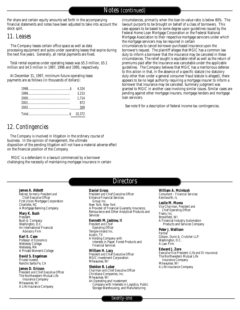Per share and certain equity amounts set forth in the accompanying financial statements and notes have been adjusted to take into account the stock split.

### *11. Leases*

The Company leases certain office space as well as data processing equipment and autos under operating leases that expire during the next five years. Generally, all rental payments are fixed.

Total rental expense under operating leases was \$5.3 million, \$5.1 million and \$4.5 million in 1997, 1996 and 1995, respectively.

At December 31, 1997, minimum future operating lease payments are as follows (in thousands of dollars):

| 3,153 |
|-------|
| 1.714 |
| 872   |
|       |
|       |

## *12. Contingencies*

The Company is involved in litigation in the ordinary course of business. In the opinion of management, the ultimate disposition of the pending litigation will not have a material adverse effect on the financial position of the Company.

MGIC is a defendant in a lawsuit commenced by a borrower challenging the necessity of maintaining mortgage insurance in certain

circumstances, primarily when the loan-to-value ratio is below 80%. The lawsuit purports to be brought on behalf of a class of borrowers. This case appears to be based to some degree upon guidelines issued by the Federal Home Loan Mortgage Corporation or the Federal National Mortgage Association to their respective mortgage servicers under which the mortgage servicers may be required in certain circumstances to cancel borrower-purchased insurance upon the borrower's request. The plaintiff alleges that MGIC has a common law duty to inform a borrower that the insurance may be canceled in these circumstances. The relief sought is equitable relief as well as the return of premiums paid after the insurance was cancelable under the applicable guidelines. The Company believes that MGIC has a meritorious defense to this action in that, in the absence of a specific statute (no statutory duty other than under a general consumer fraud statute is alleged), there appears to be no legal authority requiring a mortgage insurer to inform a borrower that insurance may be canceled. Summary judgment was granted to MGIC in another case involving similar issues. Similar cases are pending against other mortgage insurers, mortgage lenders and mortgage loan servicers.

See note 9 for a description of federal income tax contingencies.

## **Directors**

**James A. Abbott**

*R e t i red, formerly President and Chief Executive Officer* First Union Mortgage Corporation Charlotte, NC A Mortgage Banking Company

#### **Mary K. Bush** *P re s i d e n t*

Bush & Company Washington, D.C. An International Financial Advisory Firm

**Karl E. Case Professor of Economics** Wellesley College Wellesley, MA A Private Women's College

**David S. Engelman** *Private Investor* Rancho Santa Fe, CA

**James D. Ericson** *President and Chief Executive Officer* The Northwestern Mutual Life Insurance Company Milwaukee, WI A Life Insurance Company

#### **Daniel Gross**

**President and Chief Executive Officer** Enhance Financial Services Group Inc. New York, New York A Provider of Financial Guaranty Insurance, Reinsurance and Other Analytical Products and Services

#### **Kenneth M. Jastrow, II**

*P resident and Chief*  **Operating Officer** Temple-Inland Inc. Austin, TX A Holding Company with Interests in Paper, Forest Products and Financial Services

**William H. Lacy President and Chief Executive Officer** MGIC Investment Corporation Milwaukee, WI

**Sheldon B. Lubar** *Chairman and Chief Executive Officer* Christiana Companies, Inc. Milwaukee, WI An Operating and Investment Company with Interests in Logistics, Public Storage Warehousing, and Manufacturing

**William A. McIntosh** *Consultant – Financial Services* Kenilworth, IL

**Leslie M. Muma** *Vice Chairman, President and Chief Operating Officer* Fiserv, Inc. Brookfield, WI A Financial Industry Automation Products and Services Company

**Peter J. Wallison** *Partner* Gibson, Dunn & Crutcher LLP Washington, D.C. A Law Firm

**Edward J. Zore** 

*Executive Vice President (Life and DI Insurance)* The Northwestern Mutual Life Insurance Company Milwaukee, WI A Life Insurance Company

*twenty-one*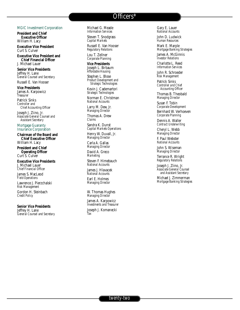## Officers\*

#### MGIC Investment Corporation

**President and Chief Executive Officer** William H. Lacy

**Executive Vice President** Curt S. Culver

**Executive Vice President and Chief Financial Officer** J. Michael Lauer

**Senior Vice Presidents** Jeffrey H. Lane *General Counsel and Secretary* 

Russell E. Van Hooser

**Vice Presidents** James A. Karpowicz *Treasurer* 

Patrick Sinks Controller and *Chief Accounting Officer* 

Joseph J. Ziino, Jr. *Associate General Counsel and*  **Assistant Secretary** 

Mortgage Guaranty Insurance Corporation

**Chairman of the Board and Chief Executive Officer** William H. Lacy

**President and Chief Operating Officer** Curt S. Culver

**Executive Vice Presidents** J. Michael Lauer *Chief Financial Officer* 

James S. MacLeod *Field Operations*

Lawrence J. Pierzchalski *Risk Management*

Gordon H. Steinbach *C redit Policy*

**Senior Vice Presidents** Jeffrey H. Lane *General Counsel and Secretary*  Michael G. Meade **Information Services** 

Steven T. Snodgrass *Capital Markets*

Russell E. Van Hooser *R e g u l a t o ry Relations*

Lou T. Zellner *Corporate Planning*

**Vice Presidents** Joseph L. Birbaum Affordable Housing Stephen L. Blose

**Product Development and** *Strategic Te c h n o l o g i e s*

Kevin J. Cademartori **Strategic Technologies** 

Norman E. Christman *National Accounts*

Larry M. Dew, Jr. *Managing Director* 

Thomas A. Drew *C l a i m s*

Sandra K. Dunst *Capital Markets Operations*

Henry W. Duvall, Jr. *Managing Director* 

Carla A. Gallas *Managing Director* David A. Greco

*Marketing* 

Steven F. Himebauch *National Accounts*

James J. Hlavacek *National Accounts*

Earl E. Holmes *Managing Director* 

W. Thomas Hughes *Managing Director* 

James A. Karpowicz *Investments and Treasurer* Joseph J. Komanecki *Ta x*

Gary E. Lauer *National Accounts*

John D. Ludwick **Human Resources** 

Mark E. Marple *M o rtgage Banking Strategies* James A. McGinnis

*Investor Relations* Charlotte L. Reed

**Information Services** 

John R. Schroeder *Risk Management*

Patrick Sinks *Controller and Chief* Accounting Officer

Thomas B. Theobald *Managing Director* 

Susan F. Tobin *Corporate Development* Bernhard W. Verhoeven

*Corporate Planning*

Dennis A. Waller *Contract Underwriting* 

Cheryl L. Webb *Managing Director* 

F. Paul Webster *National Accounts*

John S. Wiseman *Managing Director* 

Terrance R. Wright  $Regularory$  *Regulatory Relations* 

Joseph J. Ziino, Jr. *Associate General Counsel* and Assistant Secretary

Michael J. Zimmerman *M o rtgage Banking Strategies*